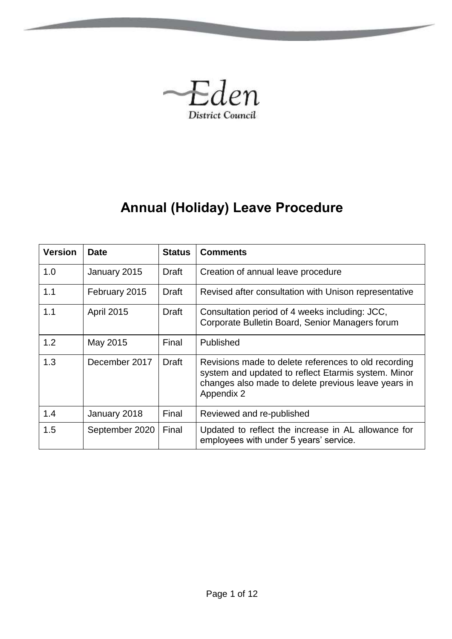

# **Annual (Holiday) Leave Procedure**

<span id="page-0-0"></span>

| <b>Version</b> | <b>Date</b>       | <b>Status</b> | <b>Comments</b>                                                                                                                                                                  |
|----------------|-------------------|---------------|----------------------------------------------------------------------------------------------------------------------------------------------------------------------------------|
| 1.0            | January 2015      | Draft         | Creation of annual leave procedure                                                                                                                                               |
| 1.1            | February 2015     | Draft         | Revised after consultation with Unison representative                                                                                                                            |
| 1.1            | <b>April 2015</b> | Draft         | Consultation period of 4 weeks including: JCC,<br>Corporate Bulletin Board, Senior Managers forum                                                                                |
| 1.2            | May 2015          | Final         | Published                                                                                                                                                                        |
| 1.3            | December 2017     | <b>Draft</b>  | Revisions made to delete references to old recording<br>system and updated to reflect Etarmis system. Minor<br>changes also made to delete previous leave years in<br>Appendix 2 |
| 1.4            | January 2018      | Final         | Reviewed and re-published                                                                                                                                                        |
| 1.5            | September 2020    | Final         | Updated to reflect the increase in AL allowance for<br>employees with under 5 years' service.                                                                                    |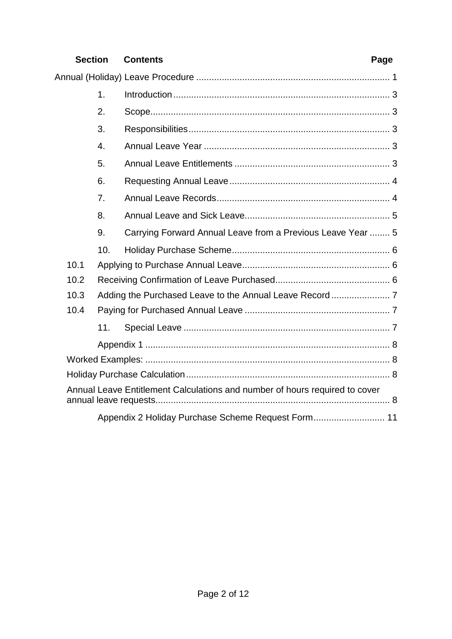# **Section Contents Page**

|      | 1.  |                                                                             |
|------|-----|-----------------------------------------------------------------------------|
|      | 2.  |                                                                             |
|      | 3.  |                                                                             |
|      | 4.  |                                                                             |
|      | 5.  |                                                                             |
|      | 6.  |                                                                             |
|      | 7.  |                                                                             |
|      | 8.  |                                                                             |
|      | 9.  | Carrying Forward Annual Leave from a Previous Leave Year  5                 |
|      | 10. |                                                                             |
| 10.1 |     |                                                                             |
| 10.2 |     |                                                                             |
| 10.3 |     |                                                                             |
| 10.4 |     |                                                                             |
|      | 11. |                                                                             |
|      |     |                                                                             |
|      |     |                                                                             |
|      |     |                                                                             |
|      |     | Annual Leave Entitlement Calculations and number of hours required to cover |
|      |     |                                                                             |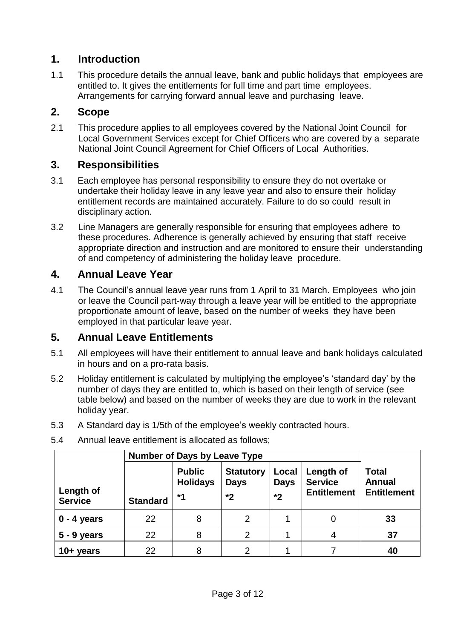# <span id="page-2-0"></span>**1. Introduction**

1.1 This procedure details the annual leave, bank and public holidays that employees are entitled to. It gives the entitlements for full time and part time employees. Arrangements for carrying forward annual leave and purchasing leave.

### <span id="page-2-1"></span>**2. Scope**

2.1 This procedure applies to all employees covered by the National Joint Council for Local Government Services except for Chief Officers who are covered by a separate National Joint Council Agreement for Chief Officers of Local Authorities.

# <span id="page-2-2"></span>**3. Responsibilities**

- 3.1 Each employee has personal responsibility to ensure they do not overtake or undertake their holiday leave in any leave year and also to ensure their holiday entitlement records are maintained accurately. Failure to do so could result in disciplinary action.
- 3.2 Line Managers are generally responsible for ensuring that employees adhere to these procedures. Adherence is generally achieved by ensuring that staff receive appropriate direction and instruction and are monitored to ensure their understanding of and competency of administering the holiday leave procedure.

# <span id="page-2-3"></span>**4. Annual Leave Year**

4.1 The Council's annual leave year runs from 1 April to 31 March. Employees who join or leave the Council part-way through a leave year will be entitled to the appropriate proportionate amount of leave, based on the number of weeks they have been employed in that particular leave year.

#### <span id="page-2-4"></span>**5. Annual Leave Entitlements**

- 5.1 All employees will have their entitlement to annual leave and bank holidays calculated in hours and on a pro-rata basis.
- 5.2 Holiday entitlement is calculated by multiplying the employee's 'standard day' by the number of days they are entitled to, which is based on their length of service (see table below) and based on the number of weeks they are due to work in the relevant holiday year.
- 5.3 A Standard day is 1/5th of the employee's weekly contracted hours.

|                             | <b>Number of Days by Leave Type</b> |                                          |                                       |                              |                                                   |                                                     |
|-----------------------------|-------------------------------------|------------------------------------------|---------------------------------------|------------------------------|---------------------------------------------------|-----------------------------------------------------|
| Length of<br><b>Service</b> | <b>Standard</b>                     | <b>Public</b><br><b>Holidays</b><br>$*1$ | <b>Statutory</b><br><b>Days</b><br>*2 | Local<br><b>Days</b><br>$*2$ | Length of<br><b>Service</b><br><b>Entitlement</b> | <b>Total</b><br><b>Annual</b><br><b>Entitlement</b> |
| $0 - 4$ years               | 22                                  | 8                                        | $\overline{2}$                        |                              |                                                   | 33                                                  |
| $5 - 9$ years               | 22                                  | 8                                        | $\overline{2}$                        |                              | 4                                                 | 37                                                  |
| $10 + years$                | 22                                  | 8                                        | 2                                     |                              |                                                   | 40                                                  |

5.4 Annual leave entitlement is allocated as follows;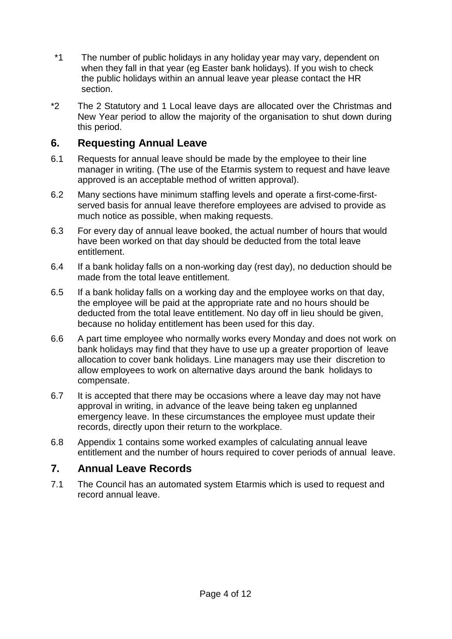- \*1 The number of public holidays in any holiday year may vary, dependent on when they fall in that year (eg Easter bank holidays). If you wish to check the public holidays within an annual leave year please contact the HR section.
- \*2 The 2 Statutory and 1 Local leave days are allocated over the Christmas and New Year period to allow the majority of the organisation to shut down during this period.

# <span id="page-3-0"></span>**6. Requesting Annual Leave**

- 6.1 Requests for annual leave should be made by the employee to their line manager in writing. (The use of the Etarmis system to request and have leave approved is an acceptable method of written approval).
- 6.2 Many sections have minimum staffing levels and operate a first-come-firstserved basis for annual leave therefore employees are advised to provide as much notice as possible, when making requests.
- 6.3 For every day of annual leave booked, the actual number of hours that would have been worked on that day should be deducted from the total leave entitlement.
- 6.4 If a bank holiday falls on a non-working day (rest day), no deduction should be made from the total leave entitlement.
- 6.5 If a bank holiday falls on a working day and the employee works on that day, the employee will be paid at the appropriate rate and no hours should be deducted from the total leave entitlement. No day off in lieu should be given, because no holiday entitlement has been used for this day.
- 6.6 A part time employee who normally works every Monday and does not work on bank holidays may find that they have to use up a greater proportion of leave allocation to cover bank holidays. Line managers may use their discretion to allow employees to work on alternative days around the bank holidays to compensate.
- 6.7 It is accepted that there may be occasions where a leave day may not have approval in writing, in advance of the leave being taken eg unplanned emergency leave. In these circumstances the employee must update their records, directly upon their return to the workplace.
- 6.8 Appendix 1 contains some worked examples of calculating annual leave entitlement and the number of hours required to cover periods of annual leave.

# <span id="page-3-1"></span>**7. Annual Leave Records**

7.1 The Council has an automated system Etarmis which is used to request and record annual leave.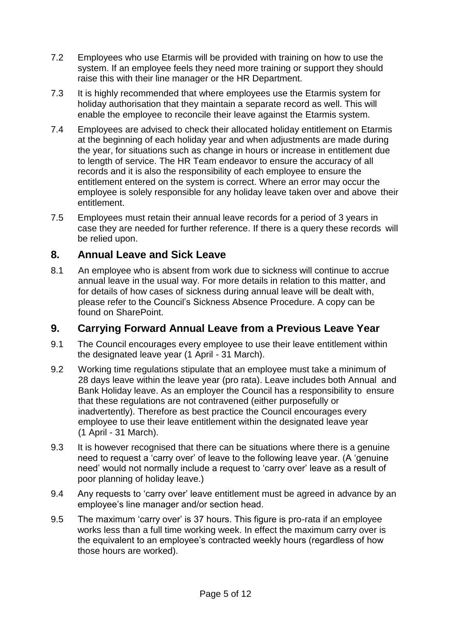- 7.2 Employees who use Etarmis will be provided with training on how to use the system. If an employee feels they need more training or support they should raise this with their line manager or the HR Department.
- 7.3 It is highly recommended that where employees use the Etarmis system for holiday authorisation that they maintain a separate record as well. This will enable the employee to reconcile their leave against the Etarmis system.
- 7.4 Employees are advised to check their allocated holiday entitlement on Etarmis at the beginning of each holiday year and when adjustments are made during the year, for situations such as change in hours or increase in entitlement due to length of service. The HR Team endeavor to ensure the accuracy of all records and it is also the responsibility of each employee to ensure the entitlement entered on the system is correct. Where an error may occur the employee is solely responsible for any holiday leave taken over and above their entitlement.
- 7.5 Employees must retain their annual leave records for a period of 3 years in case they are needed for further reference. If there is a query these records will be relied upon.

### <span id="page-4-0"></span>**8. Annual Leave and Sick Leave**

8.1 An employee who is absent from work due to sickness will continue to accrue annual leave in the usual way. For more details in relation to this matter, and for details of how cases of sickness during annual leave will be dealt with, please refer to the Council's Sickness Absence Procedure. A copy can be found on SharePoint.

# <span id="page-4-1"></span>**9. Carrying Forward Annual Leave from a Previous Leave Year**

- 9.1 The Council encourages every employee to use their leave entitlement within the designated leave year (1 April - 31 March).
- 9.2 Working time regulations stipulate that an employee must take a minimum of 28 days leave within the leave year (pro rata). Leave includes both Annual and Bank Holiday leave. As an employer the Council has a responsibility to ensure that these regulations are not contravened (either purposefully or inadvertently). Therefore as best practice the Council encourages every employee to use their leave entitlement within the designated leave year (1 April - 31 March).
- 9.3 It is however recognised that there can be situations where there is a genuine need to request a 'carry over' of leave to the following leave year. (A 'genuine need' would not normally include a request to 'carry over' leave as a result of poor planning of holiday leave.)
- 9.4 Any requests to 'carry over' leave entitlement must be agreed in advance by an employee's line manager and/or section head.
- 9.5 The maximum 'carry over' is 37 hours. This figure is pro-rata if an employee works less than a full time working week. In effect the maximum carry over is the equivalent to an employee's contracted weekly hours (regardless of how those hours are worked).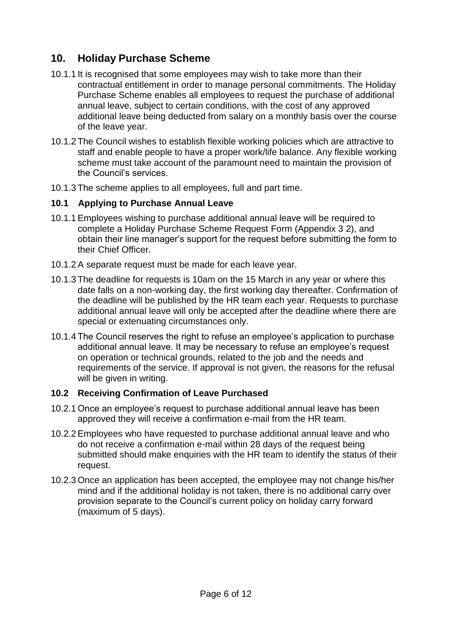# <span id="page-5-0"></span>**10. Holiday Purchase Scheme**

- 10.1.1 It is recognised that some employees may wish to take more than their contractual entitlement in order to manage personal commitments. The Holiday Purchase Scheme enables all employees to request the purchase of additional annual leave, subject to certain conditions, with the cost of any approved additional leave being deducted from salary on a monthly basis over the course of the leave year.
- 10.1.2 The Council wishes to establish flexible working policies which are attractive to staff and enable people to have a proper work/life balance. Any flexible working scheme must take account of the paramount need to maintain the provision of the Council's services.
- 10.1.3 The scheme applies to all employees, full and part time.

#### <span id="page-5-1"></span>**10.1 Applying to Purchase Annual Leave**

- 10.1.1Employees wishing to purchase additional annual leave will be required to complete a Holiday Purchase Scheme Request Form (Appendix 3 2), and obtain their line manager's support for the request before submitting the form to their Chief Officer.
- 10.1.2 A separate request must be made for each leave year.
- 10.1.3 The deadline for requests is 10am on the 15 March in any year or where this date falls on a non-working day, the first working day thereafter. Confirmation of the deadline will be published by the HR team each year. Requests to purchase additional annual leave will only be accepted after the deadline where there are special or extenuating circumstances only.
- 10.1.4 The Council reserves the right to refuse an employee's application to purchase additional annual leave. It may be necessary to refuse an employee's request on operation or technical grounds, related to the job and the needs and requirements of the service. If approval is not given, the reasons for the refusal will be given in writing.

#### <span id="page-5-2"></span>**10.2 Receiving Confirmation of Leave Purchased**

- 10.2.1 Once an employee's request to purchase additional annual leave has been approved they will receive a confirmation e-mail from the HR team.
- 10.2.2 Employees who have requested to purchase additional annual leave and who do not receive a confirmation e-mail within 28 days of the request being submitted should make enquiries with the HR team to identify the status of their request.
- 10.2.3 Once an application has been accepted, the employee may not change his/her mind and if the additional holiday is not taken, there is no additional carry over provision separate to the Council's current policy on holiday carry forward (maximum of 5 days).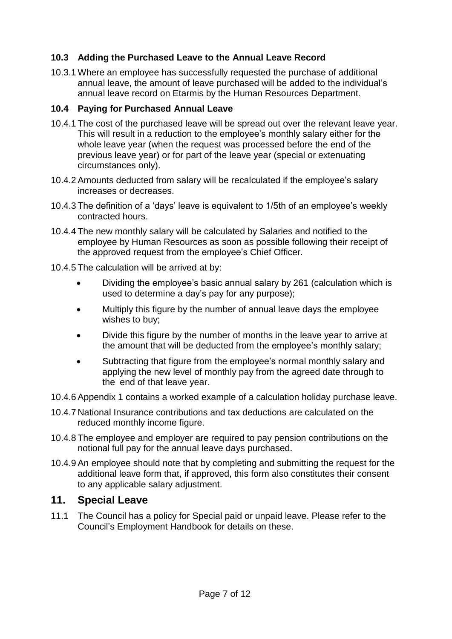#### <span id="page-6-0"></span>**10.3 Adding the Purchased Leave to the Annual Leave Record**

10.3.1 Where an employee has successfully requested the purchase of additional annual leave, the amount of leave purchased will be added to the individual's annual leave record on Etarmis by the Human Resources Department.

#### <span id="page-6-1"></span>**10.4 Paying for Purchased Annual Leave**

- 10.4.1 The cost of the purchased leave will be spread out over the relevant leave year. This will result in a reduction to the employee's monthly salary either for the whole leave year (when the request was processed before the end of the previous leave year) or for part of the leave year (special or extenuating circumstances only).
- 10.4.2 Amounts deducted from salary will be recalculated if the employee's salary increases or decreases.
- 10.4.3 The definition of a 'days' leave is equivalent to 1/5th of an employee's weekly contracted hours.
- 10.4.4 The new monthly salary will be calculated by Salaries and notified to the employee by Human Resources as soon as possible following their receipt of the approved request from the employee's Chief Officer.
- 10.4.5 The calculation will be arrived at by:
	- Dividing the employee's basic annual salary by 261 (calculation which is used to determine a day's pay for any purpose);
	- Multiply this figure by the number of annual leave days the employee wishes to buy;
	- Divide this figure by the number of months in the leave year to arrive at the amount that will be deducted from the employee's monthly salary;
	- Subtracting that figure from the employee's normal monthly salary and applying the new level of monthly pay from the agreed date through to the end of that leave year.
- 10.4.6 Appendix 1 contains a worked example of a calculation holiday purchase leave.
- 10.4.7 National Insurance contributions and tax deductions are calculated on the reduced monthly income figure.
- 10.4.8 The employee and employer are required to pay pension contributions on the notional full pay for the annual leave days purchased.
- 10.4.9 An employee should note that by completing and submitting the request for the additional leave form that, if approved, this form also constitutes their consent to any applicable salary adjustment.

#### <span id="page-6-2"></span>**11. Special Leave**

11.1 The Council has a policy for Special paid or unpaid leave. Please refer to the Council's Employment Handbook for details on these.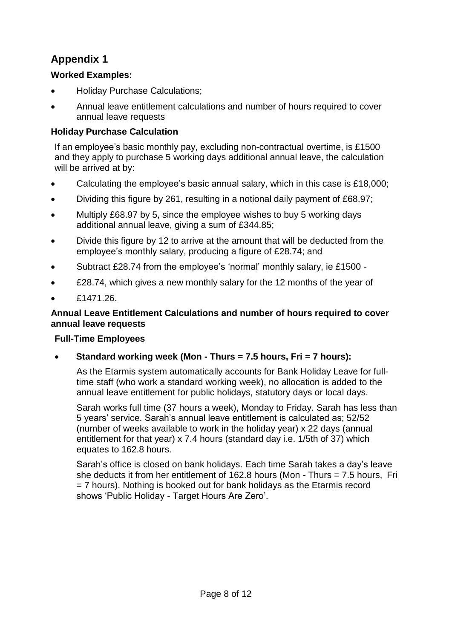# <span id="page-7-0"></span>**Appendix 1**

#### <span id="page-7-1"></span>**Worked Examples:**

- Holiday Purchase Calculations;
- Annual leave entitlement calculations and number of hours required to cover annual leave requests

#### <span id="page-7-2"></span>**Holiday Purchase Calculation**

If an employee's basic monthly pay, excluding non-contractual overtime, is £1500 and they apply to purchase 5 working days additional annual leave, the calculation will be arrived at by:

- Calculating the employee's basic annual salary, which in this case is £18,000;
- Dividing this figure by 261, resulting in a notional daily payment of £68.97;
- Multiply £68.97 by 5, since the employee wishes to buy 5 working days additional annual leave, giving a sum of £344.85;
- Divide this figure by 12 to arrive at the amount that will be deducted from the employee's monthly salary, producing a figure of £28.74; and
- Subtract £28.74 from the employee's 'normal' monthly salary, ie £1500 -
- £28.74, which gives a new monthly salary for the 12 months of the year of
- £1471.26.

#### <span id="page-7-3"></span>**Annual Leave Entitlement Calculations and number of hours required to cover annual leave requests**

#### **Full-Time Employees**

**Standard working week (Mon - Thurs = 7.5 hours, Fri = 7 hours):**

As the Etarmis system automatically accounts for Bank Holiday Leave for fulltime staff (who work a standard working week), no allocation is added to the annual leave entitlement for public holidays, statutory days or local days.

Sarah works full time (37 hours a week), Monday to Friday. Sarah has less than 5 years' service. Sarah's annual leave entitlement is calculated as; 52/52 (number of weeks available to work in the holiday year) x 22 days (annual entitlement for that year) x 7.4 hours (standard day i.e. 1/5th of 37) which equates to 162.8 hours.

Sarah's office is closed on bank holidays. Each time Sarah takes a day's leave she deducts it from her entitlement of 162.8 hours (Mon - Thurs = 7.5 hours, Fri = 7 hours). Nothing is booked out for bank holidays as the Etarmis record shows 'Public Holiday - Target Hours Are Zero'.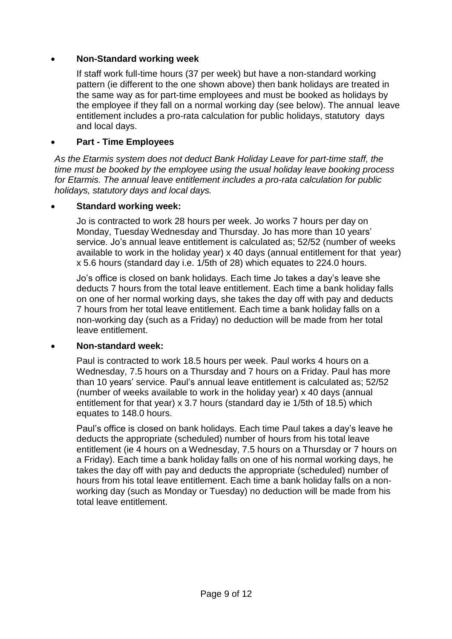#### **Non-Standard working week**

If staff work full-time hours (37 per week) but have a non-standard working pattern (ie different to the one shown above) then bank holidays are treated in the same way as for part-time employees and must be booked as holidays by the employee if they fall on a normal working day (see below). The annual leave entitlement includes a pro-rata calculation for public holidays, statutory days and local days.

#### **Part - Time Employees**

*As the Etarmis system does not deduct Bank Holiday Leave for part-time staff, the time must be booked by the employee using the usual holiday leave booking process for Etarmis. The annual leave entitlement includes a pro-rata calculation for public holidays, statutory days and local days.*

#### **Standard working week:**

Jo is contracted to work 28 hours per week. Jo works 7 hours per day on Monday, Tuesday Wednesday and Thursday. Jo has more than 10 years' service. Jo's annual leave entitlement is calculated as; 52/52 (number of weeks available to work in the holiday year) x 40 days (annual entitlement for that year) x 5.6 hours (standard day i.e. 1/5th of 28) which equates to 224.0 hours.

Jo's office is closed on bank holidays. Each time Jo takes a day's leave she deducts 7 hours from the total leave entitlement. Each time a bank holiday falls on one of her normal working days, she takes the day off with pay and deducts 7 hours from her total leave entitlement. Each time a bank holiday falls on a non-working day (such as a Friday) no deduction will be made from her total leave entitlement.

#### **Non-standard week:**

Paul is contracted to work 18.5 hours per week. Paul works 4 hours on a Wednesday, 7.5 hours on a Thursday and 7 hours on a Friday. Paul has more than 10 years' service. Paul's annual leave entitlement is calculated as; 52/52 (number of weeks available to work in the holiday year) x 40 days (annual entitlement for that year) x 3.7 hours (standard day ie 1/5th of 18.5) which equates to 148.0 hours.

Paul's office is closed on bank holidays. Each time Paul takes a day's leave he deducts the appropriate (scheduled) number of hours from his total leave entitlement (ie 4 hours on a Wednesday, 7.5 hours on a Thursday or 7 hours on a Friday). Each time a bank holiday falls on one of his normal working days, he takes the day off with pay and deducts the appropriate (scheduled) number of hours from his total leave entitlement. Each time a bank holiday falls on a nonworking day (such as Monday or Tuesday) no deduction will be made from his total leave entitlement.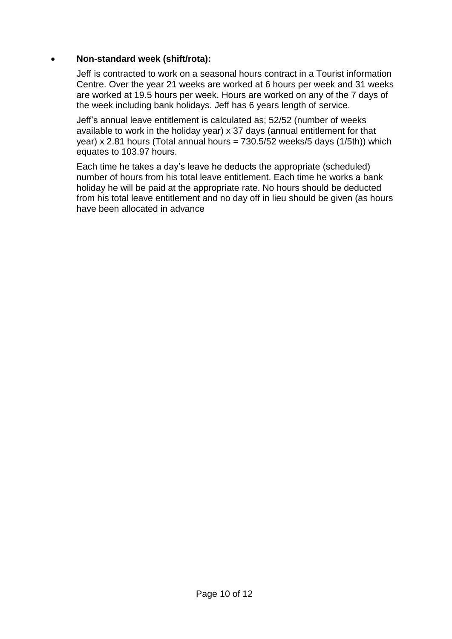#### **Non-standard week (shift/rota):**

Jeff is contracted to work on a seasonal hours contract in a Tourist information Centre. Over the year 21 weeks are worked at 6 hours per week and 31 weeks are worked at 19.5 hours per week. Hours are worked on any of the 7 days of the week including bank holidays. Jeff has 6 years length of service.

Jeff's annual leave entitlement is calculated as; 52/52 (number of weeks available to work in the holiday year) x 37 days (annual entitlement for that year) x 2.81 hours (Total annual hours =  $730.5/52$  weeks/5 days (1/5th)) which equates to 103.97 hours.

Each time he takes a day's leave he deducts the appropriate (scheduled) number of hours from his total leave entitlement. Each time he works a bank holiday he will be paid at the appropriate rate. No hours should be deducted from his total leave entitlement and no day off in lieu should be given (as hours have been allocated in advance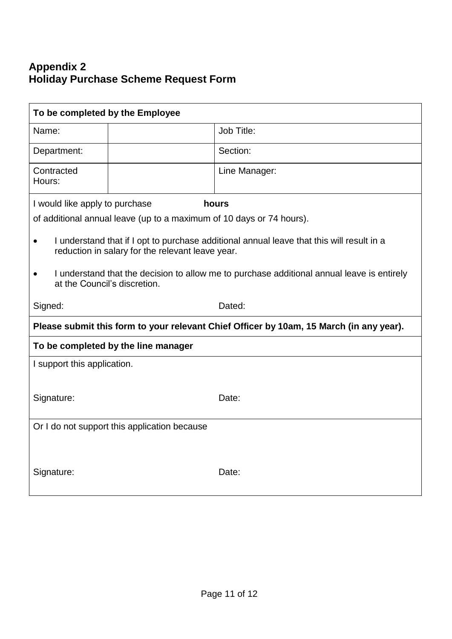# <span id="page-10-0"></span>**Appendix 2 Holiday Purchase Scheme Request Form**

| To be completed by the Employee                                                                                                               |                                                                                         |  |  |  |
|-----------------------------------------------------------------------------------------------------------------------------------------------|-----------------------------------------------------------------------------------------|--|--|--|
| Name:                                                                                                                                         | Job Title:                                                                              |  |  |  |
| Department:                                                                                                                                   | Section:                                                                                |  |  |  |
| Contracted<br>Hours:                                                                                                                          | Line Manager:                                                                           |  |  |  |
| I would like apply to purchase                                                                                                                | hours                                                                                   |  |  |  |
|                                                                                                                                               | of additional annual leave (up to a maximum of 10 days or 74 hours).                    |  |  |  |
| I understand that if I opt to purchase additional annual leave that this will result in a<br>reduction in salary for the relevant leave year. |                                                                                         |  |  |  |
| I understand that the decision to allow me to purchase additional annual leave is entirely<br>at the Council's discretion.                    |                                                                                         |  |  |  |
| Signed:                                                                                                                                       | Dated:                                                                                  |  |  |  |
|                                                                                                                                               | Please submit this form to your relevant Chief Officer by 10am, 15 March (in any year). |  |  |  |
|                                                                                                                                               | To be completed by the line manager                                                     |  |  |  |
| I support this application.                                                                                                                   |                                                                                         |  |  |  |
|                                                                                                                                               |                                                                                         |  |  |  |
| Signature:                                                                                                                                    | Date:                                                                                   |  |  |  |
| Or I do not support this application because                                                                                                  |                                                                                         |  |  |  |
|                                                                                                                                               |                                                                                         |  |  |  |
| Signature:                                                                                                                                    | Date:                                                                                   |  |  |  |